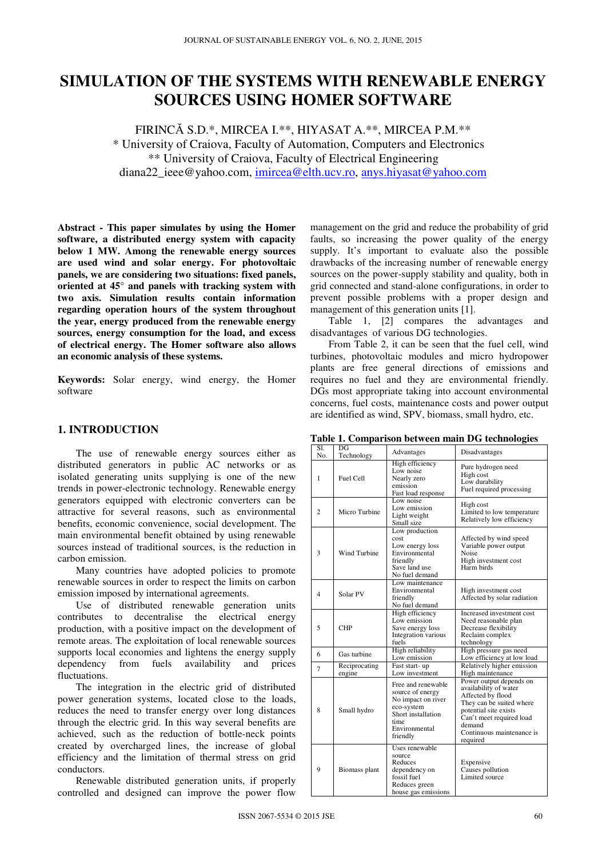# **SIMULATION OF THE SYSTEMS WITH RENEWABLE ENERGY SOURCES USING HOMER SOFTWARE**

FIRINCĂ S.D.\*, MIRCEA I.\*\*, HIYASAT A.\*\*, MIRCEA P.M.\*\* \* University of Craiova, Faculty of Automation, Computers and Electronics \*\* University of Craiova, Faculty of Electrical Engineering diana22\_ieee@yahoo.com, imircea@elth.ucv.ro, anys.hiyasat@yahoo.com

**Abstract - This paper simulates by using the Homer software, a distributed energy system with capacity below 1 MW. Among the renewable energy sources are used wind and solar energy. For photovoltaic panels, we are considering two situations: fixed panels, oriented at 45° and panels with tracking system with two axis. Simulation results contain information regarding operation hours of the system throughout the year, energy produced from the renewable energy sources, energy consumption for the load, and excess of electrical energy. The Homer software also allows an economic analysis of these systems.** 

**Keywords:** Solar energy, wind energy, the Homer software

# **1. INTRODUCTION**

The use of renewable energy sources either as distributed generators in public AC networks or as isolated generating units supplying is one of the new trends in power-electronic technology. Renewable energy generators equipped with electronic converters can be attractive for several reasons, such as environmental benefits, economic convenience, social development. The main environmental benefit obtained by using renewable sources instead of traditional sources, is the reduction in carbon emission.

Many countries have adopted policies to promote renewable sources in order to respect the limits on carbon emission imposed by international agreements.

Use of distributed renewable generation units contributes to decentralise the electrical energy production, with a positive impact on the development of remote areas. The exploitation of local renewable sources supports local economies and lightens the energy supply<br>dependency from fuels availability and prices from fuels availability and prices fluctuations.

The integration in the electric grid of distributed power generation systems, located close to the loads, reduces the need to transfer energy over long distances through the electric grid. In this way several benefits are achieved, such as the reduction of bottle-neck points created by overcharged lines, the increase of global efficiency and the limitation of thermal stress on grid conductors.

Renewable distributed generation units, if properly controlled and designed can improve the power flow

management on the grid and reduce the probability of grid faults, so increasing the power quality of the energy supply. It's important to evaluate also the possible drawbacks of the increasing number of renewable energy sources on the power-supply stability and quality, both in grid connected and stand-alone configurations, in order to prevent possible problems with a proper design and management of this generation units [1].

Table 1, [2] compares the advantages and disadvantages of various DG technologies.

From Table 2, it can be seen that the fuel cell, wind turbines, photovoltaic modules and micro hydropower plants are free general directions of emissions and requires no fuel and they are environmental friendly. DGs most appropriate taking into account environmental concerns, fuel costs, maintenance costs and power output are identified as wind, SPV, biomass, small hydro, etc.

| S1.<br>No. | DG<br>Technology        | Advantages                                                                                                                            | Disadvantages                                                                                                                                                                                             |  |
|------------|-------------------------|---------------------------------------------------------------------------------------------------------------------------------------|-----------------------------------------------------------------------------------------------------------------------------------------------------------------------------------------------------------|--|
| 1          | Fuel Cell               | High efficiency<br>Low noise<br>Nearly zero<br>emission<br>Fast load response                                                         | Pure hydrogen need<br>High cost<br>Low durability<br>Fuel required processing                                                                                                                             |  |
| 2          | Micro Turbine           | Low noise<br>Low emission<br>Light weight<br>Small size                                                                               | High cost<br>Limited to low temperature<br>Relatively low efficiency                                                                                                                                      |  |
| 3          | Wind Turbine            | Low production<br>cost<br>Low energy loss<br>Environmental<br>friendly<br>Save land use<br>No fuel demand                             | Affected by wind speed<br>Variable power output<br>Noise<br>High investment cost<br>Harm birds                                                                                                            |  |
| 4          | Solar PV                | Low maintenance<br>Environmental<br>friendly<br>No fuel demand                                                                        | High investment cost<br>Affected by solar radiation                                                                                                                                                       |  |
| 5          | <b>CHP</b>              | High efficiency<br>Low emission<br>Save energy loss<br>Integration various<br>fuels                                                   | Increased investment cost<br>Need reasonable plan<br>Decrease flexibility<br>Reclaim complex<br>technology                                                                                                |  |
| 6          | Gas turbine             | High reliability<br>Low emission                                                                                                      | High pressure gas need<br>Low efficiency at low load                                                                                                                                                      |  |
| 7          | Reciprocating<br>engine | Fast start- up<br>Low investment                                                                                                      | Relatively higher emission<br>High maintenance                                                                                                                                                            |  |
| 8          | Small hydro             | Free and renewable<br>source of energy<br>No impact on river<br>eco-system<br>Short installation<br>time<br>Environmental<br>friendly | Power output depends on<br>availability of water<br>Affected by flood<br>They can be suited where<br>potential site exists<br>Can't meet required load<br>demand<br>Continuous maintenance is<br>required |  |
| 9          | Biomass plant           | Uses renewable<br>source<br>Reduces<br>dependency on<br>fossil fuel<br>Reduces green<br>house gas emissions                           | Expensive<br>Causes pollution<br>Limited source                                                                                                                                                           |  |

**Table 1. Comparison between main DG technologies**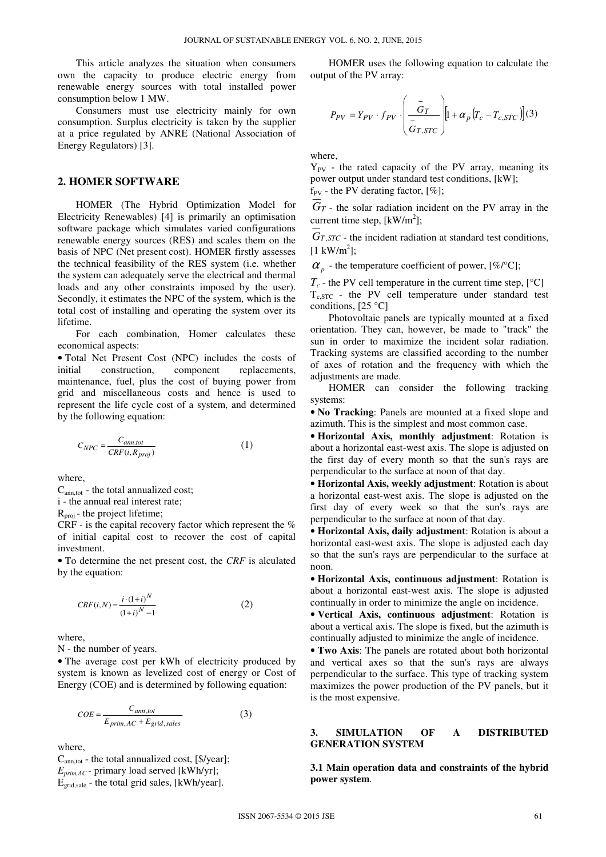This article analyzes the situation when consumers own the capacity to produce electric energy from renewable energy sources with total installed power consumption below 1 MW.

Consumers must use electricity mainly for own consumption. Surplus electricity is taken by the supplier at a price regulated by ANRE (National Association of Energy Regulators) [3].

### **2. HOMER SOFTWARE**

HOMER (The Hybrid Optimization Model for Electricity Renewables) [4] is primarily an optimisation software package which simulates varied configurations renewable energy sources (RES) and scales them on the basis of NPC (Net present cost). HOMER firstly assesses the technical feasibility of the RES system (i.e. whether the system can adequately serve the electrical and thermal loads and any other constraints imposed by the user). Secondly, it estimates the NPC of the system, which is the total cost of installing and operating the system over its lifetime.

For each combination, Homer calculates these economical aspects:

• Total Net Present Cost (NPC) includes the costs of initial construction, component replacements, maintenance, fuel, plus the cost of buying power from grid and miscellaneous costs and hence is used to represent the life cycle cost of a system, and determined by the following equation:

$$
C_{NPC} = \frac{C_{ann,tot}}{CRF(i, R_{proj})}
$$
 (1)

where,

 $C<sub>ann tot</sub>$  - the total annualized cost;

i - the annual real interest rate;

 $R_{\text{proj}}$  - the project lifetime;

CRF - is the capital recovery factor which represent the % of initial capital cost to recover the cost of capital investment.

• To determine the net present cost, the *CRF* is alculated by the equation:

$$
CRF(i,N) = \frac{i \cdot (1+i)^N}{(1+i)^N - 1} \tag{2}
$$

where,

N - the number of years.

• The average cost per kWh of electricity produced by system is known as levelized cost of energy or Cost of Energy (COE) and is determined by following equation:

$$
COE = \frac{C_{ann, tot}}{E_{prim, AC} + E_{grid, sales}}
$$
(3)

where,

 $C<sub>ann,tot</sub>$  - the total annualized cost, [\$/year]; *Eprim,AC* - primary load served [kWh/yr]; Egrid,sale - the total grid sales, [kWh/year].

HOMER uses the following equation to calculate the output of the PV array:

$$
P_{PV} = Y_{PV} \cdot f_{PV} \cdot \left(\frac{\bar{G}_T}{\bar{G}_{T,STC}}\right) \left[1 + \alpha_p \left(T_c - T_{c,STC}\right)\right] (3)
$$

where,

 $Y_{PV}$  - the rated capacity of the PV array, meaning its power output under standard test conditions, [kW];

 $f_{PV}$  - the PV derating factor, [%];

*G<sup>T</sup>* - the solar radiation incident on the PV array in the current time step,  $[kW/m^2]$ ;

*GT sTC* - the incident radiation at standard test conditions,  $[1 \text{ kW/m}^2];$ 

 $\alpha_p$  - the temperature coefficient of power, [%/°C];

 $T_c$  - the PV cell temperature in the current time step,  $[°C]$  $T_{c,STC}$  - the PV cell temperature under standard test conditions,  $[25 °C]$ 

Photovoltaic panels are typically mounted at a fixed orientation. They can, however, be made to "track" the sun in order to maximize the incident solar radiation. Tracking systems are classified according to the number of axes of rotation and the frequency with which the adjustments are made.

HOMER can consider the following tracking systems:

• **No Tracking**: Panels are mounted at a fixed slope and azimuth. This is the simplest and most common case.

• **Horizontal Axis, monthly adjustment**: Rotation is about a horizontal east-west axis. The slope is adjusted on the first day of every month so that the sun's rays are perpendicular to the surface at noon of that day.

• **Horizontal Axis, weekly adjustment**: Rotation is about a horizontal east-west axis. The slope is adjusted on the first day of every week so that the sun's rays are perpendicular to the surface at noon of that day.

• **Horizontal Axis, daily adjustment**: Rotation is about a horizontal east-west axis. The slope is adjusted each day so that the sun's rays are perpendicular to the surface at noon.

• **Horizontal Axis, continuous adjustment**: Rotation is about a horizontal east-west axis. The slope is adjusted continually in order to minimize the angle on incidence.

• **Vertical Axis, continuous adjustment**: Rotation is about a vertical axis. The slope is fixed, but the azimuth is continually adjusted to minimize the angle of incidence.

• **Two Axis**: The panels are rotated about both horizontal and vertical axes so that the sun's rays are always perpendicular to the surface. This type of tracking system maximizes the power production of the PV panels, but it is the most expensive.

## **3. SIMULATION OF A DISTRIBUTED GENERATION SYSTEM**

**3.1 Main operation data and constraints of the hybrid power system**.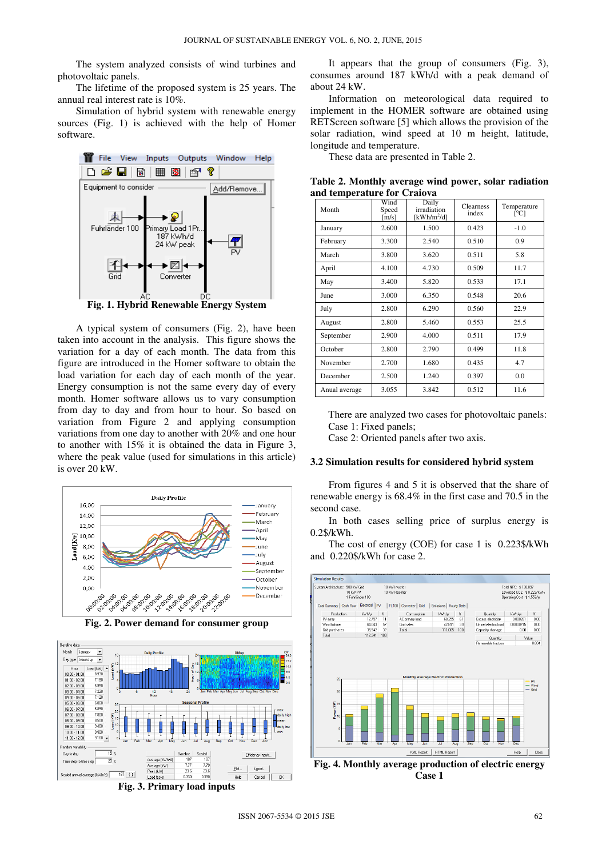The system analyzed consists of wind turbines and photovoltaic panels.

The lifetime of the proposed system is 25 years. The annual real interest rate is 10%.

Simulation of hybrid system with renewable energy sources (Fig. 1) is achieved with the help of Homer software.



A typical system of consumers (Fig. 2), have been taken into account in the analysis. This figure shows the variation for a day of each month. The data from this figure are introduced in the Homer software to obtain the load variation for each day of each month of the year. Energy consumption is not the same every day of every month. Homer software allows us to vary consumption from day to day and from hour to hour. So based on variation from Figure 2 and applying consumption variations from one day to another with 20% and one hour to another with 15% it is obtained the data in Figure 3, where the peak value (used for simulations in this article) is over 20 kW.



**Fig. 2. Power demand for consumer group** 



**Fig. 3. Primary load inputs** 

It appears that the group of consumers (Fig. 3), consumes around 187 kWh/d with a peak demand of about 24 kW.

Information on meteorological data required to implement in the HOMER software are obtained using RETScreen software [5] which allows the provision of the solar radiation, wind speed at 10 m height, latitude, longitude and temperature.

These data are presented in Table 2.

**Table 2. Monthly average wind power, solar radiation and temperature for Craiova** 

| Month         | Wind<br>Speed<br>$\lceil m/s \rceil$ | Daily<br>irradiation<br>[kWh/m <sup>2</sup> /d] | <b>Clearness</b><br>index | Temperature<br>[°C] |
|---------------|--------------------------------------|-------------------------------------------------|---------------------------|---------------------|
| January       | 2.600                                | 1.500                                           | 0.423                     | $-1.0$              |
| February      | 3.300                                | 2.540                                           | 0.510                     | 0.9                 |
| March         | 3.800                                | 3.620                                           | 0.511                     | 5.8                 |
| April         | 4.100                                | 4.730                                           | 0.509                     | 11.7                |
| May           | 3.400                                | 5.820                                           | 0.533                     | 17.1                |
| June          | 3.000                                | 6.350                                           | 0.548                     | 20.6                |
| July          | 2.800                                | 6.290                                           | 0.560                     | 22.9                |
| August        | 2.800                                | 5.460                                           | 0.553                     | 25.5                |
| September     | 2.900                                | 4.000                                           | 0.511                     | 17.9                |
| October       | 2.800                                | 2.790                                           | 0.499                     | 11.8                |
| November      | 2.700                                | 1.680                                           | 0.435                     | 4.7                 |
| December      | 2.500                                | 1.240                                           | 0.397                     | 0.0                 |
| Anual average | 3.055                                | 3.842                                           | 0.512                     | 11.6                |

There are analyzed two cases for photovoltaic panels: Case 1: Fixed panels;

Case 2: Oriented panels after two axis.

#### **3.2 Simulation results for considered hybrid system**

From figures 4 and 5 it is observed that the share of renewable energy is 68.4% in the first case and 70.5 in the second case.

In both cases selling price of surplus energy is 0.2\$/kWh.

The cost of energy (COE) for case 1 is 0.223\$/kWh and 0.220\$/kWh for case 2.



ISSN 2067-5534 © 2015 JSE 62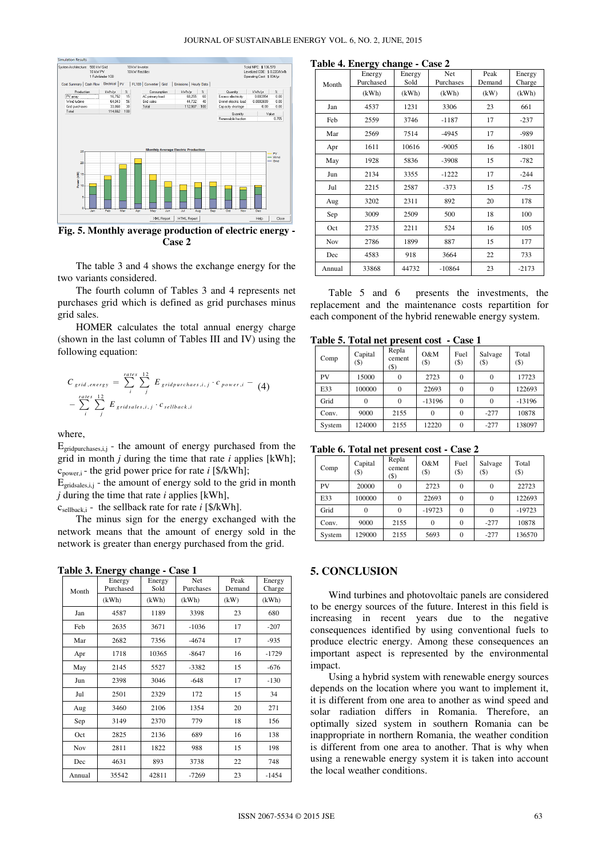

**Fig. 5. Monthly average production of electric energy - Case 2** 

The table 3 and 4 shows the exchange energy for the two variants considered.

The fourth column of Tables 3 and 4 represents net purchases grid which is defined as grid purchases minus grid sales.

HOMER calculates the total annual energy charge (shown in the last column of Tables III and IV) using the following equation:

$$
C_{grid,energy} = \sum_{i}^{rates} \sum_{j}^{12} E_{gridpurchaes,i,j} \cdot c_{power,i} - (4)
$$

$$
- \sum_{i}^{rates} \sum_{j}^{12} E_{gridsales,i,j} \cdot c_{sellback,i}
$$

where,

Egridpurchases,i,j - the amount of energy purchased from the grid in month *j* during the time that rate *i* applies [kWh];  $c<sub>power.i</sub>$  - the grid power price for rate *i* [\$/kWh];

 $E_{\text{gridsales},i,j}$  - the amount of energy sold to the grid in month *j* during the time that rate *i* applies [kWh],

 $c_{\text{sellback},i}$  - the sellback rate for rate *i* [\$/kWh].

The minus sign for the energy exchanged with the network means that the amount of energy sold in the network is greater than energy purchased from the grid.

**Table 3. Energy change - Case 1** 

| Month  | Energy<br>Purchased | ີ<br>Energy<br>Sold | Net<br>Purchases | Peak<br>Demand | Energy<br>Charge |
|--------|---------------------|---------------------|------------------|----------------|------------------|
|        | (kWh)               | (kWh)               | (kWh)            | (kW)           | (kWh)            |
| Jan    | 4587                | 1189                | 3398             | 23             | 680              |
| Feb    | 2635                | 3671                | $-1036$          | 17             | $-207$           |
| Mar    | 2682                | 7356                | $-4674$          | 17             | $-935$           |
| Apr    | 1718                | 10365               | $-8647$          | 16             | $-1729$          |
| May    | 2145                | 5527                | $-3382$          | 15             | $-676$           |
| Jun    | 2398                | 3046                | $-648$           | 17             | $-130$           |
| Jul    | 2501                | 2329                | 172              | 15             | 34               |
| Aug    | 3460                | 2106                | 1354             | 20             | 271              |
| Sep    | 3149                | 2370                | 779              | 18             | 156              |
| Oct    | 2825                | 2136                | 689              | 16             | 138              |
| Nov    | 2811                | 1822                | 988              | 15             | 198              |
| Dec    | 4631                | 893                 | 3738             | 22             | 748              |
| Annual | 35542               | 42811               | $-7269$          | 23             | $-1454$          |

**Table 4. Energy change - Case 2** 

| Month  | ອຸ<br>Energy<br>Purchased | ,,<br>Energy<br>Sold | Net<br>Purchases | Peak<br>Demand | Energy<br>Charge |
|--------|---------------------------|----------------------|------------------|----------------|------------------|
|        | (kWh)                     | (kWh)                | (kWh)            | (kW)           | (kWh)            |
| Jan    | 4537                      | 1231                 | 3306             | 23             | 661              |
| Feb    | 2559                      | 3746                 | $-1187$          | 17             | $-237$           |
| Mar    | 2569                      | 7514                 | $-4945$          | 17             | $-989$           |
| Apr    | 1611                      | 10616                | $-9005$          | 16             | $-1801$          |
| May    | 1928                      | 5836                 | $-3908$          | 15             | $-782$           |
| Jun    | 2134                      | 3355                 | $-1222$          | 17             | $-244$           |
| Jul    | 2215                      | 2587                 | $-373$           | 15             | $-75$            |
| Aug    | 3202                      | 2311                 | 892              | 20             | 178              |
| Sep    | 3009                      | 2509                 | 500              | 18             | 100              |
| Oct    | 2735                      | 2211                 | 524              | 16             | 105              |
| Nov    | 2786                      | 1899                 | 887              | 15             | 177              |
| Dec    | 4583                      | 918                  | 3664             | 22             | 733              |
| Annual | 33868                     | 44732                | $-10864$         | 23             | $-2173$          |

Table 5 and 6 presents the investments, the replacement and the maintenance costs repartition for each component of the hybrid renewable energy system.

**Table 5. Total net present cost - Case 1** 

| Comp   | Capital<br>$($ \$) | Repla<br>cement<br>(\$) | O&M<br>$($ \$) | Fuel<br>$($ \$) | Salvage<br>(S) | Total<br>(5) |
|--------|--------------------|-------------------------|----------------|-----------------|----------------|--------------|
| PV     | 15000              |                         | 2723           |                 |                | 17723        |
| E33    | 100000             | 0                       | 22693          |                 | $\theta$       | 122693       |
| Grid   |                    |                         | $-13196$       |                 |                | $-13196$     |
| Conv.  | 9000               | 2155                    | 0              |                 | $-277$         | 10878        |
| System | 124000             | 2155                    | 12220          | $\Omega$        | $-277$         | 138097       |

| Table 6. Total net present cost - Case 2 |  |  |  |  |  |
|------------------------------------------|--|--|--|--|--|
|------------------------------------------|--|--|--|--|--|

| Comp   | Capital<br>$($ \$) | Repla<br>cement<br>(\$) | O&M<br>$($ \$) | Fuel<br>$($ \$) | Salvage<br>$(5)$ | Total<br>$($ \$) |
|--------|--------------------|-------------------------|----------------|-----------------|------------------|------------------|
| PV     | 20000              |                         | 2723           | $\Omega$        |                  | 22723            |
| E33    | 100000             | $\theta$                | 22693          | $\theta$        | 0                | 122693           |
| Grid   | $\theta$           |                         | $-19723$       | $\theta$        | $\Omega$         | $-19723$         |
| Conv.  | 9000               | 2155                    | 0              |                 | $-277$           | 10878            |
| System | 129000             | 2155                    | 5693           | $\Omega$        | $-277$           | 136570           |

#### **5. CONCLUSION**

Wind turbines and photovoltaic panels are considered to be energy sources of the future. Interest in this field is increasing in recent years due to the negative consequences identified by using conventional fuels to produce electric energy. Among these consequences an important aspect is represented by the environmental impact.

Using a hybrid system with renewable energy sources depends on the location where you want to implement it, it is different from one area to another as wind speed and solar radiation differs in Romania. Therefore, an optimally sized system in southern Romania can be inappropriate in northern Romania, the weather condition is different from one area to another. That is why when using a renewable energy system it is taken into account the local weather conditions.